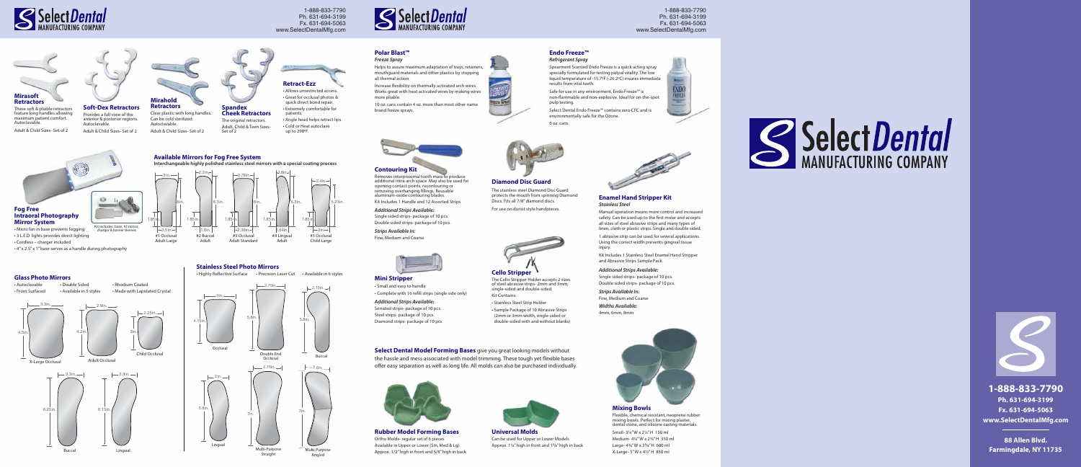#### **Enamel Hand Stripper Kit** *Stainless Steel*

Manual operation means more control and increased safety. Can be used up to the first molar and accepts all sizes of steel abrasive strips and many types of linen, cloth or plastic strips. Single and double sided.

1 abrasive strip can be used for several applications. Using the correct width prevents gingival tissue injury.

Kit Includes 1 Stainless Steel Enamel Hand Stripper and Abrasive Strips Sample Pack.

## *Additional Strips Available:*

Single sided strips- package of 10 pcs. Double sided strips- package of 10 pcs.

*Strips Available In:* Fine, Medium and Coarse

*Widths Available:* 4mm, 6mm, 8mm



### **Glass Photo Mirrors**

Safe for use in any environment, Endo Freeze<sup>™</sup> is non-flammable and non-explosive. Ideal for on-the-spot pulp testing.

### **Stainless Steel Photo Mirrors**



 $-2in.$ 

• Highly Reflective Surface • Precision Laser Cut • Available in 6 styles



Helps to assure maximum adaptation of trays, retainers, mouthguard materials and other plastics by stopping all thermal action.

Increase flexibility on thermally activated arch wires. Works great with heat activated wires by making wires more pliable.

10 oz. cans contain 4 oz. more than most other name brand freeze sprays.





## **Endo Freeze™**

#### *Refrigerant Spray*

Spearment Scented Endo Freeze is a quick acting spray specially formulated for testing pulpal vitality. The low liquid temperature of -15.7ºF (-26.2ºC) insures immediate results from vital teeth.

Select Dental Endo Freeze™ contains zero CFC and is environmentally safe for the Ozone.

6 oz. cans.



### **Retract-Ezz**

• Allows unrestricted access. • Great for occlusal photos & quick direct bond repair. • Extremely comfortable for patients. • Angle head helps retract lips. • Cold or Heat autoclave up to 290ºF.

#### **Mixing Bowls**

 $-2.36$ in. 1.6in. 5in. #2 Buccal

> Flexible, chemical resistant, neoprene rubber mixing bowls. Perfect for mixing plaster, dental stone, and silicone casting materials.



Small- 3¼" W x 2¼" H 150 ml Medium- 4¼" W x 2¾" H 350 ml Large- 4¾" W x 3 **<sup>5</sup>**/**8**" H 600 ml X-Large- 5" W x 4½" H 850 ml





#### **Contouring Kit**

Removes interproximal tooth mass to produce additional intra-arch space. May also be used for opening contact points, recontouring or removing overhanging fillings. Reusable aluminum-oxide contouring blades. Kit Includes 1 Handle and 12 Assorted Strips

**Select Dental Model Forming Bases** give you great looking models without the hassle and mess associated with model trimming. These tough yet flexible bases offer easy separation as well as long life. All molds can also be purchased individually.



*Additional Strips Available:*

Single sided strips- package of 10 pcs. Double sided strips- package of 10 pcs.

*Strips Available In:* Fine, Medium and Coarse



**Soft-Dex Retractors** Provides a full view of the anterior & posterior regions. Autoclavable. Adult & Child Sizes- Set of 2

**Spandex Cheek Retractors** The original retractors. Adult, Child & Teen Sizes-

Set of 2





These soft & pliable retractors feature long handles allowing maximum patient comfort. Autoclavable.

Adult & Child Sizes- Set of 2



• Micro fan in base prevents fogging • 3 L.E.D. lights provides direct lighting

• Cordless – charger included

• 4" x 2.5" x 1" base serves as a handle during photography





Straight



Angled

2. 5in.

3in.

6in.

1 . 8 5in.

> #1 Occlusal Adult Large

5.23in.

2 .4in.

1 . 8 5in.

> #5 Occlusal Child Large

2 . 78in.

1 . 8 5in. #3 Occlusal Adult Standard 1.64in. 1 . 8 5in. #4 Lingual Adult

6in. 6 . 3in.

6 . 3in.

1 .8in.

2 . 2in.

1 . 8

Adult



**Available Mirrors for Fog Free System**

**Interchangeable highly polished stainless steel mirrors with a special coating process**



The Cello Stripper Holder accepts 2 sizes

### **Cello Stripper** of steel abrasive strips- 2mm and 3mm; single-sided and double-sided. Kit Contains:

• Stainless Steel Strip Holder

• Sample Package of 10 Abrasive Strips (2mm or 3mm width, single-sided or

double-sided with and without blanks)

### **Diamond Disc Guard**

The stainless steel Diamond Disc Guard protects the mouth from spinning Diamond Discs. Fits all 7/8" diamond discs. For use on doriot style handpieces.

**Rubber Model Forming Bases** Ortho Molds- regular set of 6 pieces Available in Upper or Lower (Sm, Med & Lg) Approx. 1/2" high in front and 5/8" high in back



**Universal Molds**

Can be used for Upper or Lower Models Approx. 1¼" high in front and 1 **<sup>5</sup>**/**8**" high in back

**Mini Stripper** • Small and easy to handle • Complete with 16 refill strips (single side only) *Additional Strips Available:*  Serrated strips- package of 10 pcs. Steel strips- package of 10 pcs.

Diamond strips- package of 10 pcs



**1-888-833-7790 Ph. 631-694-3199 Fx. 631-694-5063 www.SelectDentalMfg.com**

**88 Allen Blvd. Farmingdale, NY 11735**





1-888-833-7790 Ph. 631-694-3199 Fx. 631-694-5063 www.SelectDentalMfg.com



1-888-833-7790 Ph. 631-694-3199 Fx. 631-694-5063 www.SelectDentalMfg.com